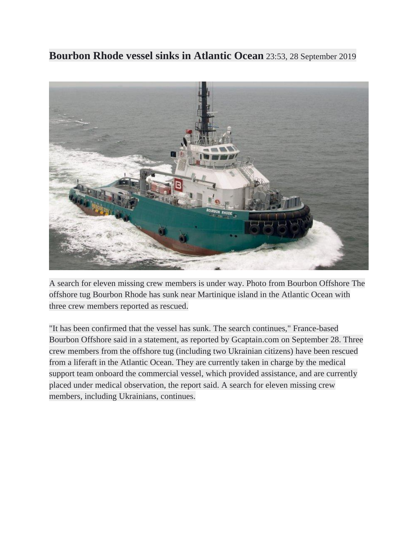**Bourbon Rhode vessel sinks in Atlantic Ocean** 23:53, 28 September 2019



A search for eleven missing crew members is under way. Photo from Bourbon Offshore The offshore tug Bourbon Rhode has sunk near Martinique island in the Atlantic Ocean with three crew members reported as rescued.

"It has been confirmed that the vessel has sunk. The search continues," France-based Bourbon Offshore said in a statement, as reported by Gcaptain.com on September 28. Three crew members from the offshore tug (including two Ukrainian citizens) have been rescued from a liferaft in the Atlantic Ocean. They are currently taken in charge by the medical support team onboard the commercial vessel, which provided assistance, and are currently placed under medical observation, the report said. A search for eleven missing crew members, including Ukrainians, continues.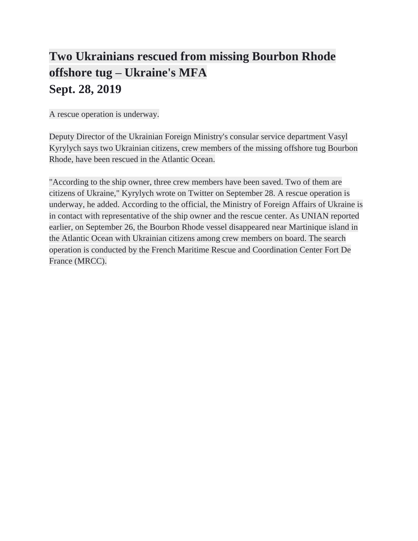## **Two Ukrainians rescued from missing Bourbon Rhode offshore tug – Ukraine's MFA Sept. 28, 2019**

A rescue operation is underway.

Deputy Director of the Ukrainian Foreign Ministry's consular service department Vasyl Kyrylych says two Ukrainian citizens, crew members of the missing offshore tug Bourbon Rhode, have been rescued in the Atlantic Ocean.

"According to the ship owner, three crew members have been saved. Two of them are citizens of Ukraine," Kyrylych wrote on Twitter on September 28. A rescue operation is underway, he added. According to the official, the Ministry of Foreign Affairs of Ukraine is in contact with representative of the ship owner and the rescue center. As UNIAN reported earlier, on September 26, the Bourbon Rhode vessel disappeared near Martinique island in the Atlantic Ocean with Ukrainian citizens among crew members on board. The search operation is conducted by the French Maritime Rescue and Coordination Center Fort De France (MRCC).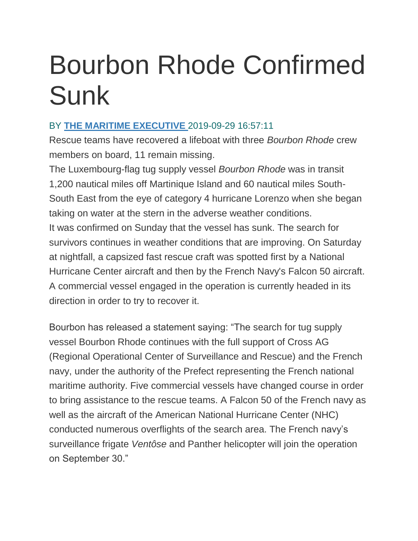## Bourbon Rhode Confirmed Sunk

## BY **[THE MARITIME EXECUTIVE](https://www.maritime-executive.com/author/marex)** 2019-09-29 16:57:11

Rescue teams have recovered a lifeboat with three *Bourbon Rhode* crew members on board, 11 remain missing.

The Luxembourg-flag tug supply vessel *Bourbon Rhode* was in transit 1,200 nautical miles off Martinique Island and 60 nautical miles South-South East from the eye of category 4 hurricane Lorenzo when she began taking on water at the stern in the adverse weather conditions. It was confirmed on Sunday that the vessel has sunk. The search for survivors continues in weather conditions that are improving. On Saturday at nightfall, a capsized fast rescue craft was spotted first by a National Hurricane Center aircraft and then by the French Navy's Falcon 50 aircraft. A commercial vessel engaged in the operation is currently headed in its direction in order to try to recover it.

Bourbon has released a statement saying: "The search for tug supply vessel Bourbon Rhode continues with the full support of Cross AG (Regional Operational Center of Surveillance and Rescue) and the French navy, under the authority of the Prefect representing the French national maritime authority. Five commercial vessels have changed course in order to bring assistance to the rescue teams. A Falcon 50 of the French navy as well as the aircraft of the American National Hurricane Center (NHC) conducted numerous overflights of the search area. The French navy's surveillance frigate *Ventôse* and Panther helicopter will join the operation on September 30."